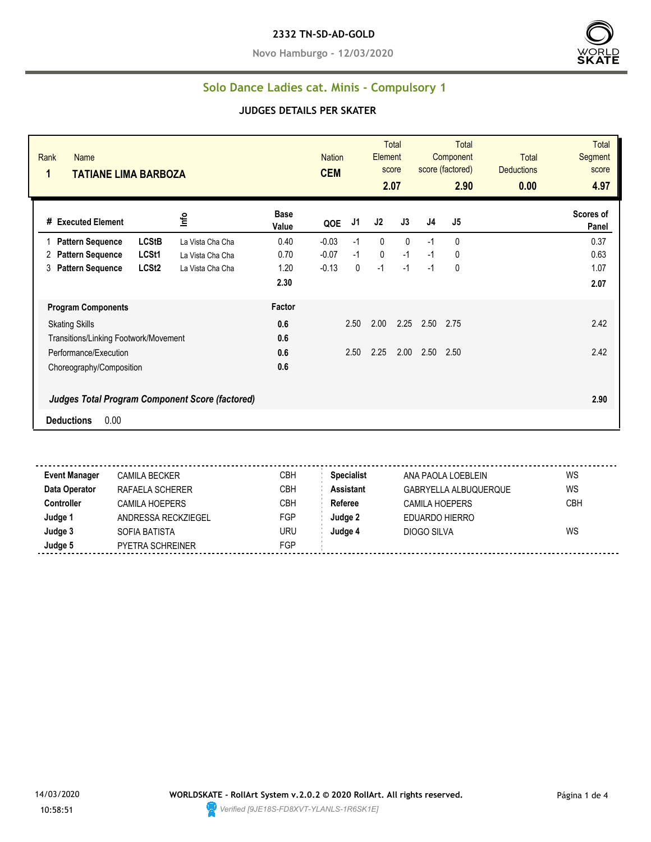**Novo Hamburgo - 12/03/2020**



### **Solo Dance Ladies cat. Minis - Compulsory 1**

#### **JUDGES DETAILS PER SKATER**

| Rank<br><b>Name</b><br>1<br><b>TATIANE LIMA BARBOZA</b> |                                                        |                      | <b>Nation</b><br><b>CEM</b> |      | Element      | <b>Total</b><br>score<br>2.07 |      | <b>Total</b><br>Component<br>score (factored)<br>2.90 | <b>Total</b><br><b>Deductions</b><br>0.00 | <b>Total</b><br>Segment<br>score<br>4.97 |
|---------------------------------------------------------|--------------------------------------------------------|----------------------|-----------------------------|------|--------------|-------------------------------|------|-------------------------------------------------------|-------------------------------------------|------------------------------------------|
| # Executed Element                                      | Info                                                   | <b>Base</b><br>Value | QOE                         | J1   | J2           | J3                            | J4   | J5                                                    |                                           | Scores of<br>Panel                       |
| <b>Pattern Sequence</b>                                 | <b>LCStB</b><br>La Vista Cha Cha                       | 0.40                 | $-0.03$                     | $-1$ | $\mathbf{0}$ | $\Omega$                      | $-1$ | 0                                                     |                                           | 0.37                                     |
| <b>Pattern Sequence</b><br>2                            | LCSt1<br>La Vista Cha Cha                              | 0.70                 | $-0.07$                     | $-1$ | $\mathbf 0$  | $-1$                          | $-1$ | 0                                                     |                                           | 0.63                                     |
| <b>Pattern Sequence</b><br>3                            | LCSt <sub>2</sub><br>La Vista Cha Cha                  | 1.20                 | $-0.13$                     | 0    | $-1$         | $-1$                          | $-1$ | 0                                                     |                                           | 1.07                                     |
|                                                         |                                                        | 2.30                 |                             |      |              |                               |      |                                                       |                                           | 2.07                                     |
| <b>Program Components</b>                               |                                                        | Factor               |                             |      |              |                               |      |                                                       |                                           |                                          |
| <b>Skating Skills</b>                                   |                                                        | 0.6                  |                             | 2.50 | 2.00         | 2.25                          | 2.50 | 2.75                                                  |                                           | 2.42                                     |
| Transitions/Linking Footwork/Movement                   |                                                        | 0.6                  |                             |      |              |                               |      |                                                       |                                           |                                          |
| Performance/Execution                                   |                                                        | 0.6                  |                             | 2.50 | 2.25         | 2.00                          | 2.50 | 2.50                                                  |                                           | 2.42                                     |
| Choreography/Composition                                |                                                        | 0.6                  |                             |      |              |                               |      |                                                       |                                           |                                          |
| 0.00<br><b>Deductions</b>                               | <b>Judges Total Program Component Score (factored)</b> |                      |                             |      |              |                               |      |                                                       |                                           | 2.90                                     |

**Event Manager** CAMILA BECKER CBH **Specialist** ANA PAOLA LOEBLEIN WS **Data Operator** RAFAELA SCHERER CBH **Assistant** GABRYELLA ALBUQUERQUE WS **Controller** CAMILA HOEPERS CBH **Referee** CAMILA HOEPERS CBH **Judge 1** ANDRESSA RECKZIEGEL FGP **Judge 2** EDUARDO HIERRO **Judge 3** SOFIA BATISTA URU **Judge 4** DIOGO SILVA WS **Judge 5** PYETRA SCHREINER FGP

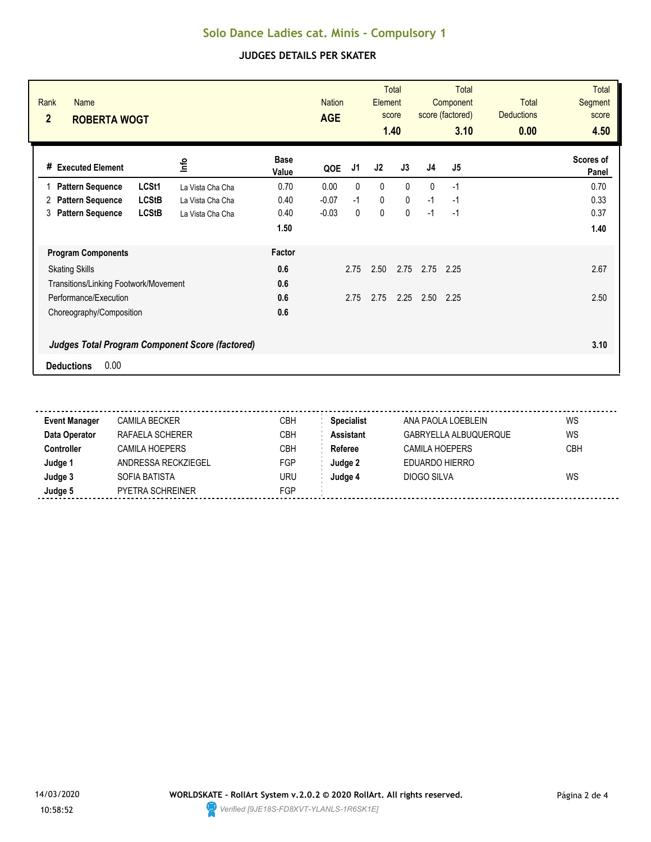# **Solo Dance Ladies cat. Minis - Compulsory 1**

### **JUDGES DETAILS PER SKATER**

| Rank<br><b>Name</b><br>$\overline{2}$<br><b>ROBERTA WOGT</b> |                  |                      | <b>Nation</b><br><b>AGE</b> |              | Element     | <b>Total</b><br>score<br>1.40 |              | <b>Total</b><br>Component<br>score (factored)<br>3.10 | <b>Total</b><br><b>Deductions</b><br>0.00 | <b>Total</b><br><b>Segment</b><br>score<br>4.50 |
|--------------------------------------------------------------|------------------|----------------------|-----------------------------|--------------|-------------|-------------------------------|--------------|-------------------------------------------------------|-------------------------------------------|-------------------------------------------------|
| # Executed Element                                           | ۴ů               | <b>Base</b><br>Value | QOE                         | J1           | J2          | J3                            | J4           | J5                                                    |                                           | Scores of<br>Panel                              |
| LCSt1<br><b>Pattern Sequence</b>                             | La Vista Cha Cha | 0.70                 | 0.00                        | $\mathbf{0}$ | $\mathbf 0$ | $\mathbf{0}$                  | $\mathbf{0}$ | $-1$                                                  |                                           | 0.70                                            |
| <b>LCStB</b><br><b>Pattern Sequence</b><br>2                 | La Vista Cha Cha | 0.40                 | $-0.07$                     | $-1$         | 0           | $\mathbf{0}$                  | $-1$         | $-1$                                                  |                                           | 0.33                                            |
| <b>LCStB</b><br><b>Pattern Sequence</b><br>3                 | La Vista Cha Cha | 0.40                 | $-0.03$                     | $\mathbf{0}$ | $\mathbf 0$ | $\mathbf 0$                   | $-1$         | $-1$                                                  |                                           | 0.37                                            |
|                                                              |                  | 1.50                 |                             |              |             |                               |              |                                                       |                                           | 1.40                                            |
| <b>Program Components</b>                                    |                  | Factor               |                             |              |             |                               |              |                                                       |                                           |                                                 |
| <b>Skating Skills</b>                                        |                  | 0.6                  |                             | 2.75         | 2.50        | 2.75                          | 2.75         | 2.25                                                  |                                           | 2.67                                            |
| Transitions/Linking Footwork/Movement                        |                  | 0.6                  |                             |              |             |                               |              |                                                       |                                           |                                                 |
| Performance/Execution                                        |                  | 0.6                  |                             | 2.75         | 2.75        | 2.25                          | 2.50         | 2.25                                                  |                                           | 2.50                                            |
| Choreography/Composition                                     |                  | 0.6                  |                             |              |             |                               |              |                                                       |                                           |                                                 |
| <b>Judges Total Program Component Score (factored)</b>       |                  |                      |                             |              |             |                               |              |                                                       |                                           | 3.10                                            |
| 0.00<br><b>Deductions</b>                                    |                  |                      |                             |              |             |                               |              |                                                       |                                           |                                                 |

| <b>Event Manager</b> | <b>CAMILA BECKER</b>  | CBH | <b>Specialist</b> | ANA PAOLA LOEBLEIN    | WS         |
|----------------------|-----------------------|-----|-------------------|-----------------------|------------|
| Data Operator        | RAFAELA SCHERER       | СВН | <b>Assistant</b>  | GABRYELLA ALBUQUERQUE | WS         |
| Controller           | <b>CAMILA HOEPERS</b> | СВН | Referee           | CAMILA HOEPERS        | <b>CBH</b> |
| Judge '              | ANDRESSA RECKZIEGEL   | FGP | Judge 2           | EDUARDO HIERRO        |            |
| Judge 3              | SOFIA BATISTA         | uru | Judae 4           | DIOGO SILVA           | WS         |
| Judge 5              | PYETRA SCHREINER      | FGP |                   |                       |            |
|                      |                       |     |                   |                       |            |

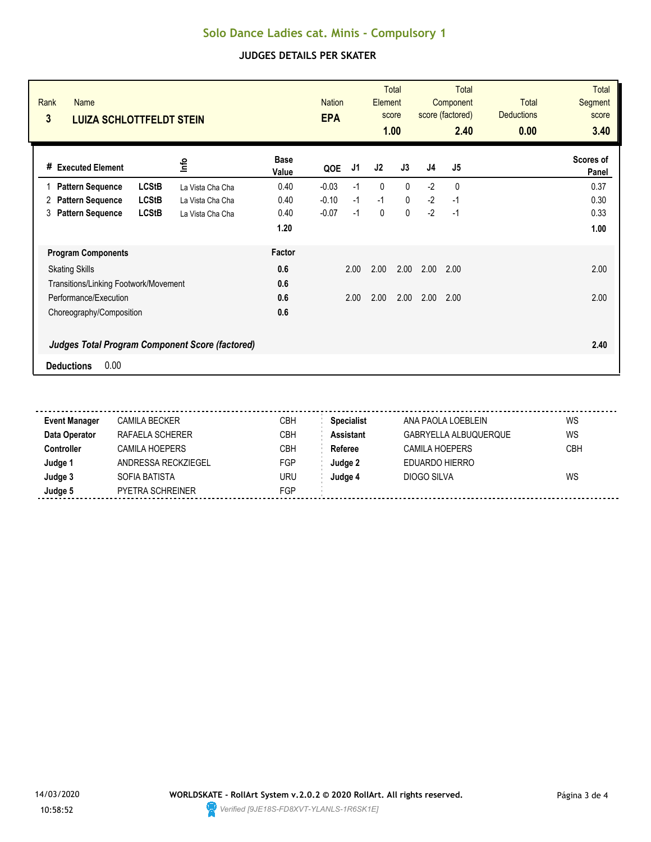## **Solo Dance Ladies cat. Minis - Compulsory 1**

### **JUDGES DETAILS PER SKATER**

| Rank<br><b>Name</b><br>3<br><b>LUIZA SCHLOTTFELDT STEIN</b> |                  |                      | <b>Nation</b><br><b>EPA</b> |      | Element      | <b>Total</b><br>score<br>1.00 |      | <b>Total</b><br>Component<br>score (factored)<br>2.40 | <b>Total</b><br><b>Deductions</b><br>0.00 | <b>Total</b><br>Segment<br>score<br>3.40 |
|-------------------------------------------------------------|------------------|----------------------|-----------------------------|------|--------------|-------------------------------|------|-------------------------------------------------------|-------------------------------------------|------------------------------------------|
| <b>Executed Element</b><br>#                                | lnfo             | <b>Base</b><br>Value | QOE                         | J1   | J2           | J3                            | J4   | J5                                                    |                                           | Scores of<br>Panel                       |
| <b>LCStB</b><br><b>Pattern Sequence</b>                     | La Vista Cha Cha | 0.40                 | $-0.03$                     | $-1$ | $\mathbf{0}$ | 0                             | $-2$ | 0                                                     |                                           | 0.37                                     |
| <b>LCStB</b><br><b>Pattern Sequence</b><br>2                | La Vista Cha Cha | 0.40                 | $-0.10$                     | $-1$ | $-1$         | 0                             | $-2$ | -1                                                    |                                           | 0.30                                     |
| <b>LCStB</b><br><b>Pattern Sequence</b><br>3                | La Vista Cha Cha | 0.40                 | $-0.07$                     | $-1$ | 0            | 0                             | $-2$ | $-1$                                                  |                                           | 0.33                                     |
|                                                             |                  | 1.20                 |                             |      |              |                               |      |                                                       |                                           | 1.00                                     |
| <b>Program Components</b>                                   |                  | Factor               |                             |      |              |                               |      |                                                       |                                           |                                          |
| <b>Skating Skills</b>                                       |                  | 0.6                  |                             | 2.00 | 2.00         | 2.00                          | 2.00 | 2.00                                                  |                                           | 2.00                                     |
| Transitions/Linking Footwork/Movement                       |                  | 0.6                  |                             |      |              |                               |      |                                                       |                                           |                                          |
| Performance/Execution                                       |                  | 0.6                  |                             | 2.00 | 2.00         | 2.00                          | 2.00 | 2.00                                                  |                                           | 2.00                                     |
| Choreography/Composition                                    |                  | 0.6                  |                             |      |              |                               |      |                                                       |                                           |                                          |
| Judges Total Program Component Score (factored)             |                  |                      |                             |      |              |                               |      |                                                       |                                           | 2.40                                     |
| 0.00<br><b>Deductions</b>                                   |                  |                      |                             |      |              |                               |      |                                                       |                                           |                                          |

| <b>Event Manager</b> | <b>CAMILA BECKER</b>  | CBH        | <b>Specialist</b> | ANA PAOLA LOEBLEIN    | WS  |
|----------------------|-----------------------|------------|-------------------|-----------------------|-----|
| Data Operator        | RAFAELA SCHERER       | <b>CBH</b> | <b>Assistant</b>  | GABRYELLA ALBUQUERQUE | WS  |
| <b>Controller</b>    | <b>CAMILA HOEPERS</b> | CBH        | Referee           | CAMILA HOEPERS        | CBH |
| Judge 1              | ANDRESSA RECKZIEGEL   | FGP        | Judge 2           | EDUARDO HIERRO        |     |
| Judge 3              | SOFIA BATISTA         | uru        | Judge 4           | DIOGO SILVA           | WS  |
| Judge 5              | PYETRA SCHREINER      | FGP        |                   |                       |     |
|                      |                       |            |                   |                       |     |